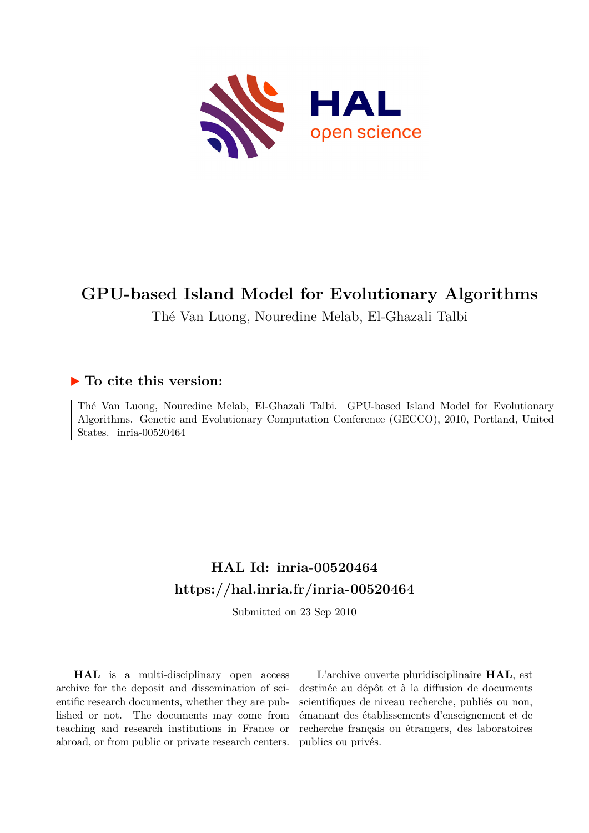

# **GPU-based Island Model for Evolutionary Algorithms**

Thé Van Luong, Nouredine Melab, El-Ghazali Talbi

## **To cite this version:**

Thé Van Luong, Nouredine Melab, El-Ghazali Talbi. GPU-based Island Model for Evolutionary Algorithms. Genetic and Evolutionary Computation Conference (GECCO), 2010, Portland, United States. inria-00520464

## **HAL Id: inria-00520464 <https://hal.inria.fr/inria-00520464>**

Submitted on 23 Sep 2010

**HAL** is a multi-disciplinary open access archive for the deposit and dissemination of scientific research documents, whether they are published or not. The documents may come from teaching and research institutions in France or abroad, or from public or private research centers.

L'archive ouverte pluridisciplinaire **HAL**, est destinée au dépôt et à la diffusion de documents scientifiques de niveau recherche, publiés ou non, émanant des établissements d'enseignement et de recherche français ou étrangers, des laboratoires publics ou privés.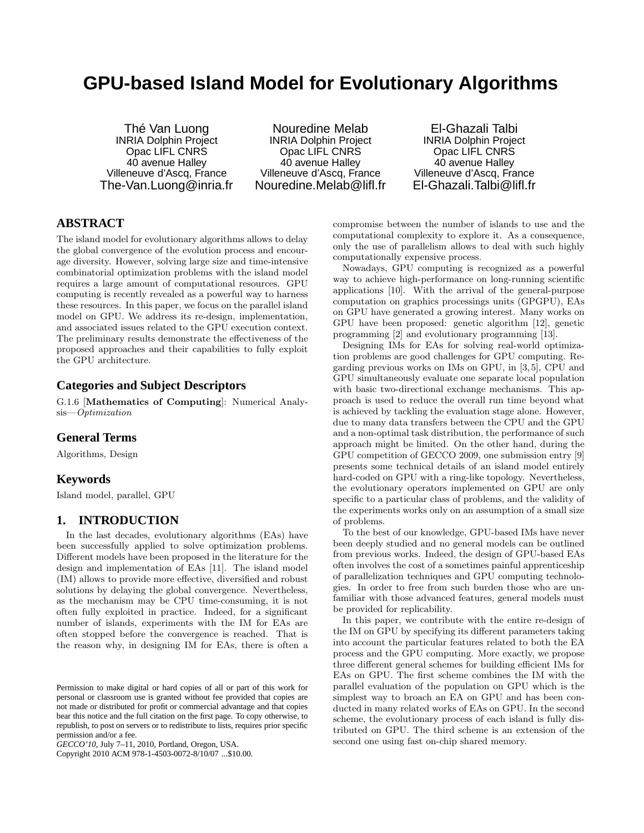## **GPU-based Island Model for Evolutionary Algorithms**

Thé Van Luong INRIA Dolphin Project Opac LIFL CNRS 40 avenue Halley Villeneuve d'Ascq, France The-Van.Luong@inria.fr

Nouredine Melab INRIA Dolphin Project Opac LIFL CNRS 40 avenue Halley Villeneuve d'Ascq, France Nouredine.Melab@lifl.fr

El-Ghazali Talbi INRIA Dolphin Project Opac LIFL CNRS 40 avenue Halley Villeneuve d'Ascq, France El-Ghazali.Talbi@lifl.fr

## **ABSTRACT**

The island model for evolutionary algorithms allows to delay the global convergence of the evolution process and encourage diversity. However, solving large size and time-intensive combinatorial optimization problems with the island model requires a large amount of computational resources. GPU computing is recently revealed as a powerful way to harness these resources. In this paper, we focus on the parallel island model on GPU. We address its re-design, implementation, and associated issues related to the GPU execution context. The preliminary results demonstrate the effectiveness of the proposed approaches and their capabilities to fully exploit the GPU architecture.

## **Categories and Subject Descriptors**

G.1.6 [Mathematics of Computing]: Numerical Analysis—Optimization

### **General Terms**

Algorithms, Design

## **Keywords**

Island model, parallel, GPU

## **1. INTRODUCTION**

In the last decades, evolutionary algorithms (EAs) have been successfully applied to solve optimization problems. Different models have been proposed in the literature for the design and implementation of EAs [11]. The island model (IM) allows to provide more effective, diversified and robust solutions by delaying the global convergence. Nevertheless, as the mechanism may be CPU time-consuming, it is not often fully exploited in practice. Indeed, for a significant number of islands, experiments with the IM for EAs are often stopped before the convergence is reached. That is the reason why, in designing IM for EAs, there is often a

Copyright 2010 ACM 978-1-4503-0072-8/10/07 ...\$10.00.

compromise between the number of islands to use and the computational complexity to explore it. As a consequence, only the use of parallelism allows to deal with such highly computationally expensive process.

Nowadays, GPU computing is recognized as a powerful way to achieve high-performance on long-running scientific applications [10]. With the arrival of the general-purpose computation on graphics processings units (GPGPU), EAs on GPU have generated a growing interest. Many works on GPU have been proposed: genetic algorithm [12], genetic programming [2] and evolutionary programming [13].

Designing IMs for EAs for solving real-world optimization problems are good challenges for GPU computing. Regarding previous works on IMs on GPU, in [3, 5], CPU and GPU simultaneously evaluate one separate local population with basic two-directional exchange mechanisms. This approach is used to reduce the overall run time beyond what is achieved by tackling the evaluation stage alone. However, due to many data transfers between the CPU and the GPU and a non-optimal task distribution, the performance of such approach might be limited. On the other hand, during the GPU competition of GECCO 2009, one submission entry [9] presents some technical details of an island model entirely hard-coded on GPU with a ring-like topology. Nevertheless, the evolutionary operators implemented on GPU are only specific to a particular class of problems, and the validity of the experiments works only on an assumption of a small size of problems.

To the best of our knowledge, GPU-based IMs have never been deeply studied and no general models can be outlined from previous works. Indeed, the design of GPU-based EAs often involves the cost of a sometimes painful apprenticeship of parallelization techniques and GPU computing technologies. In order to free from such burden those who are unfamiliar with those advanced features, general models must be provided for replicability.

In this paper, we contribute with the entire re-design of the IM on GPU by specifying its different parameters taking into account the particular features related to both the EA process and the GPU computing. More exactly, we propose three different general schemes for building efficient IMs for EAs on GPU. The first scheme combines the IM with the parallel evaluation of the population on GPU which is the simplest way to broach an EA on GPU and has been conducted in many related works of EAs on GPU. In the second scheme, the evolutionary process of each island is fully distributed on GPU. The third scheme is an extension of the second one using fast on-chip shared memory.

Permission to make digital or hard copies of all or part of this work for personal or classroom use is granted without fee provided that copies are not made or distributed for profit or commercial advantage and that copies bear this notice and the full citation on the first page. To copy otherwise, to republish, to post on servers or to redistribute to lists, requires prior specific permission and/or a fee.

*GECCO'10,* July 7–11, 2010, Portland, Oregon, USA.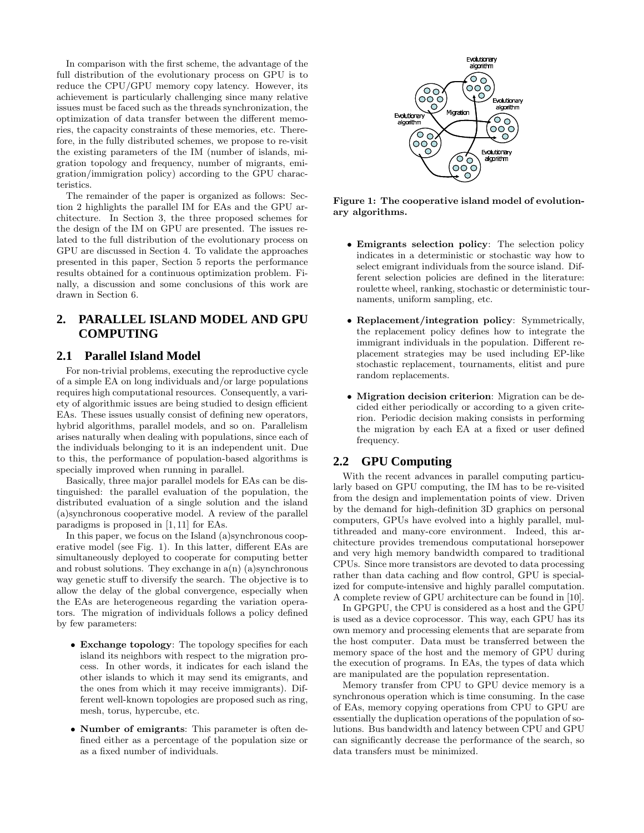In comparison with the first scheme, the advantage of the full distribution of the evolutionary process on GPU is to reduce the CPU/GPU memory copy latency. However, its achievement is particularly challenging since many relative issues must be faced such as the threads synchronization, the optimization of data transfer between the different memories, the capacity constraints of these memories, etc. Therefore, in the fully distributed schemes, we propose to re-visit the existing parameters of the IM (number of islands, migration topology and frequency, number of migrants, emigration/immigration policy) according to the GPU characteristics.

The remainder of the paper is organized as follows: Section 2 highlights the parallel IM for EAs and the GPU architecture. In Section 3, the three proposed schemes for the design of the IM on GPU are presented. The issues related to the full distribution of the evolutionary process on GPU are discussed in Section 4. To validate the approaches presented in this paper, Section 5 reports the performance results obtained for a continuous optimization problem. Finally, a discussion and some conclusions of this work are drawn in Section 6.

## **2. PARALLEL ISLAND MODEL AND GPU COMPUTING**

## **2.1 Parallel Island Model**

For non-trivial problems, executing the reproductive cycle of a simple EA on long individuals and/or large populations requires high computational resources. Consequently, a variety of algorithmic issues are being studied to design efficient EAs. These issues usually consist of defining new operators, hybrid algorithms, parallel models, and so on. Parallelism arises naturally when dealing with populations, since each of the individuals belonging to it is an independent unit. Due to this, the performance of population-based algorithms is specially improved when running in parallel.

Basically, three major parallel models for EAs can be distinguished: the parallel evaluation of the population, the distributed evaluation of a single solution and the island (a)synchronous cooperative model. A review of the parallel paradigms is proposed in [1, 11] for EAs.

In this paper, we focus on the Island (a)synchronous cooperative model (see Fig. 1). In this latter, different EAs are simultaneously deployed to cooperate for computing better and robust solutions. They exchange in  $a(n)$  (a)synchronous way genetic stuff to diversify the search. The objective is to allow the delay of the global convergence, especially when the EAs are heterogeneous regarding the variation operators. The migration of individuals follows a policy defined by few parameters:

- Exchange topology: The topology specifies for each island its neighbors with respect to the migration process. In other words, it indicates for each island the other islands to which it may send its emigrants, and the ones from which it may receive immigrants). Different well-known topologies are proposed such as ring, mesh, torus, hypercube, etc.
- Number of emigrants: This parameter is often defined either as a percentage of the population size or as a fixed number of individuals.



Figure 1: The cooperative island model of evolutionary algorithms.

- Emigrants selection policy: The selection policy indicates in a deterministic or stochastic way how to select emigrant individuals from the source island. Different selection policies are defined in the literature: roulette wheel, ranking, stochastic or deterministic tournaments, uniform sampling, etc.
- Replacement/integration policy: Symmetrically, the replacement policy defines how to integrate the immigrant individuals in the population. Different replacement strategies may be used including EP-like stochastic replacement, tournaments, elitist and pure random replacements.
- Migration decision criterion: Migration can be decided either periodically or according to a given criterion. Periodic decision making consists in performing the migration by each EA at a fixed or user defined frequency.

### **2.2 GPU Computing**

With the recent advances in parallel computing particularly based on GPU computing, the IM has to be re-visited from the design and implementation points of view. Driven by the demand for high-definition 3D graphics on personal computers, GPUs have evolved into a highly parallel, multithreaded and many-core environment. Indeed, this architecture provides tremendous computational horsepower and very high memory bandwidth compared to traditional CPUs. Since more transistors are devoted to data processing rather than data caching and flow control, GPU is specialized for compute-intensive and highly parallel computation. A complete review of GPU architecture can be found in [10].

In GPGPU, the CPU is considered as a host and the GPU is used as a device coprocessor. This way, each GPU has its own memory and processing elements that are separate from the host computer. Data must be transferred between the memory space of the host and the memory of GPU during the execution of programs. In EAs, the types of data which are manipulated are the population representation.

Memory transfer from CPU to GPU device memory is a synchronous operation which is time consuming. In the case of EAs, memory copying operations from CPU to GPU are essentially the duplication operations of the population of solutions. Bus bandwidth and latency between CPU and GPU can significantly decrease the performance of the search, so data transfers must be minimized.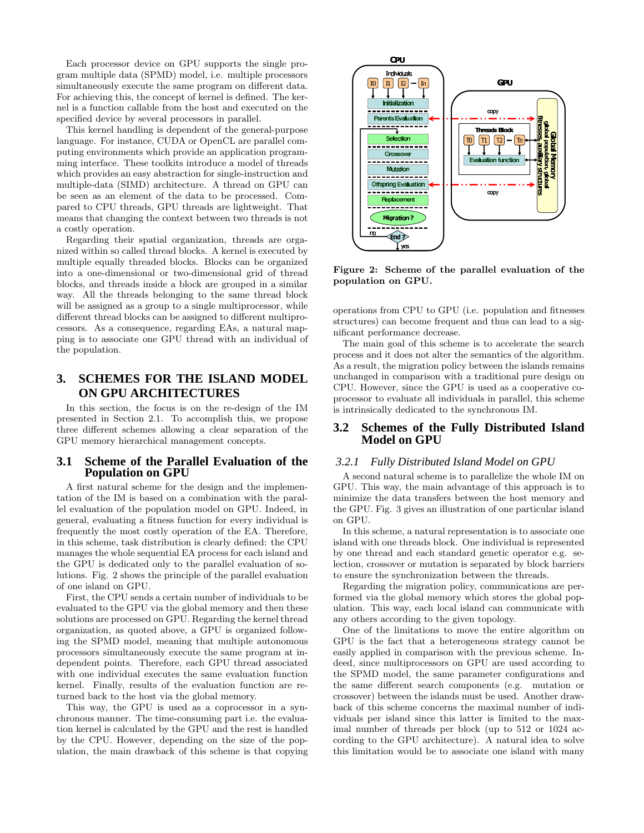Each processor device on GPU supports the single program multiple data (SPMD) model, i.e. multiple processors simultaneously execute the same program on different data. For achieving this, the concept of kernel is defined. The kernel is a function callable from the host and executed on the specified device by several processors in parallel.

This kernel handling is dependent of the general-purpose language. For instance, CUDA or OpenCL are parallel computing environments which provide an application programming interface. These toolkits introduce a model of threads which provides an easy abstraction for single-instruction and multiple-data (SIMD) architecture. A thread on GPU can be seen as an element of the data to be processed. Compared to CPU threads, GPU threads are lightweight. That means that changing the context between two threads is not a costly operation.

Regarding their spatial organization, threads are organized within so called thread blocks. A kernel is executed by multiple equally threaded blocks. Blocks can be organized into a one-dimensional or two-dimensional grid of thread blocks, and threads inside a block are grouped in a similar way. All the threads belonging to the same thread block will be assigned as a group to a single multiprocessor, while different thread blocks can be assigned to different multiprocessors. As a consequence, regarding EAs, a natural mapping is to associate one GPU thread with an individual of the population.

## **3. SCHEMES FOR THE ISLAND MODEL ON GPU ARCHITECTURES**

In this section, the focus is on the re-design of the IM presented in Section 2.1. To accomplish this, we propose three different schemes allowing a clear separation of the GPU memory hierarchical management concepts.

## **3.1 Scheme of the Parallel Evaluation of the Population on GPU**

A first natural scheme for the design and the implementation of the IM is based on a combination with the parallel evaluation of the population model on GPU. Indeed, in general, evaluating a fitness function for every individual is frequently the most costly operation of the EA. Therefore, in this scheme, task distribution is clearly defined: the CPU manages the whole sequential EA process for each island and the GPU is dedicated only to the parallel evaluation of solutions. Fig. 2 shows the principle of the parallel evaluation of one island on GPU.

First, the CPU sends a certain number of individuals to be evaluated to the GPU via the global memory and then these solutions are processed on GPU. Regarding the kernel thread organization, as quoted above, a GPU is organized following the SPMD model, meaning that multiple autonomous processors simultaneously execute the same program at independent points. Therefore, each GPU thread associated with one individual executes the same evaluation function kernel. Finally, results of the evaluation function are returned back to the host via the global memory.

This way, the GPU is used as a coprocessor in a synchronous manner. The time-consuming part i.e. the evaluation kernel is calculated by the GPU and the rest is handled by the CPU. However, depending on the size of the population, the main drawback of this scheme is that copying



Figure 2: Scheme of the parallel evaluation of the population on GPU.

operations from CPU to GPU (i.e. population and fitnesses structures) can become frequent and thus can lead to a significant performance decrease.

The main goal of this scheme is to accelerate the search process and it does not alter the semantics of the algorithm. As a result, the migration policy between the islands remains unchanged in comparison with a traditional pure design on CPU. However, since the GPU is used as a cooperative coprocessor to evaluate all individuals in parallel, this scheme is intrinsically dedicated to the synchronous IM.

## **3.2 Schemes of the Fully Distributed Island Model on GPU**

### *3.2.1 Fully Distributed Island Model on GPU*

A second natural scheme is to parallelize the whole IM on GPU. This way, the main advantage of this approach is to minimize the data transfers between the host memory and the GPU. Fig. 3 gives an illustration of one particular island on GPU.

In this scheme, a natural representation is to associate one island with one threads block. One individual is represented by one thread and each standard genetic operator e.g. selection, crossover or mutation is separated by block barriers to ensure the synchronization between the threads.

Regarding the migration policy, communications are performed via the global memory which stores the global population. This way, each local island can communicate with any others according to the given topology.

One of the limitations to move the entire algorithm on GPU is the fact that a heterogeneous strategy cannot be easily applied in comparison with the previous scheme. Indeed, since multiprocessors on GPU are used according to the SPMD model, the same parameter configurations and the same different search components (e.g. mutation or crossover) between the islands must be used. Another drawback of this scheme concerns the maximal number of individuals per island since this latter is limited to the maximal number of threads per block (up to 512 or 1024 according to the GPU architecture). A natural idea to solve this limitation would be to associate one island with many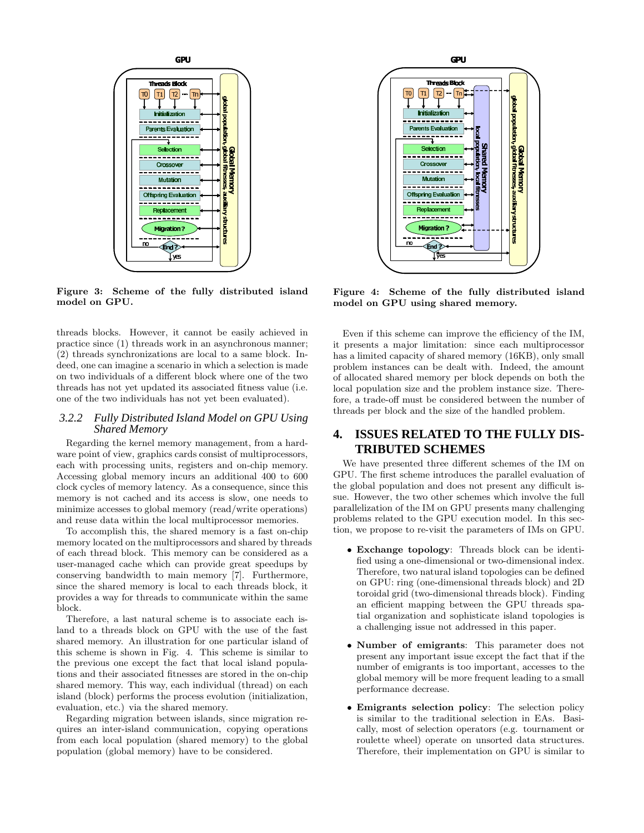

Figure 3: Scheme of the fully distributed island model on GPU.

threads blocks. However, it cannot be easily achieved in practice since (1) threads work in an asynchronous manner; (2) threads synchronizations are local to a same block. Indeed, one can imagine a scenario in which a selection is made on two individuals of a different block where one of the two threads has not yet updated its associated fitness value (i.e. one of the two individuals has not yet been evaluated).

#### *3.2.2 Fully Distributed Island Model on GPU Using Shared Memory*

Regarding the kernel memory management, from a hardware point of view, graphics cards consist of multiprocessors, each with processing units, registers and on-chip memory. Accessing global memory incurs an additional 400 to 600 clock cycles of memory latency. As a consequence, since this memory is not cached and its access is slow, one needs to minimize accesses to global memory (read/write operations) and reuse data within the local multiprocessor memories.

To accomplish this, the shared memory is a fast on-chip memory located on the multiprocessors and shared by threads of each thread block. This memory can be considered as a user-managed cache which can provide great speedups by conserving bandwidth to main memory [7]. Furthermore, since the shared memory is local to each threads block, it provides a way for threads to communicate within the same block.

Therefore, a last natural scheme is to associate each island to a threads block on GPU with the use of the fast shared memory. An illustration for one particular island of this scheme is shown in Fig. 4. This scheme is similar to the previous one except the fact that local island populations and their associated fitnesses are stored in the on-chip shared memory. This way, each individual (thread) on each island (block) performs the process evolution (initialization, evaluation, etc.) via the shared memory.

Regarding migration between islands, since migration requires an inter-island communication, copying operations from each local population (shared memory) to the global population (global memory) have to be considered.



Figure 4: Scheme of the fully distributed island model on GPU using shared memory.

Even if this scheme can improve the efficiency of the IM, it presents a major limitation: since each multiprocessor has a limited capacity of shared memory (16KB), only small problem instances can be dealt with. Indeed, the amount of allocated shared memory per block depends on both the local population size and the problem instance size. Therefore, a trade-off must be considered between the number of threads per block and the size of the handled problem.

## **4. ISSUES RELATED TO THE FULLY DIS-TRIBUTED SCHEMES**

We have presented three different schemes of the IM on GPU. The first scheme introduces the parallel evaluation of the global population and does not present any difficult issue. However, the two other schemes which involve the full parallelization of the IM on GPU presents many challenging problems related to the GPU execution model. In this section, we propose to re-visit the parameters of IMs on GPU.

- Exchange topology: Threads block can be identified using a one-dimensional or two-dimensional index. Therefore, two natural island topologies can be defined on GPU: ring (one-dimensional threads block) and 2D toroidal grid (two-dimensional threads block). Finding an efficient mapping between the GPU threads spatial organization and sophisticate island topologies is a challenging issue not addressed in this paper.
- Number of emigrants: This parameter does not present any important issue except the fact that if the number of emigrants is too important, accesses to the global memory will be more frequent leading to a small performance decrease.
- Emigrants selection policy: The selection policy is similar to the traditional selection in EAs. Basically, most of selection operators (e.g. tournament or roulette wheel) operate on unsorted data structures. Therefore, their implementation on GPU is similar to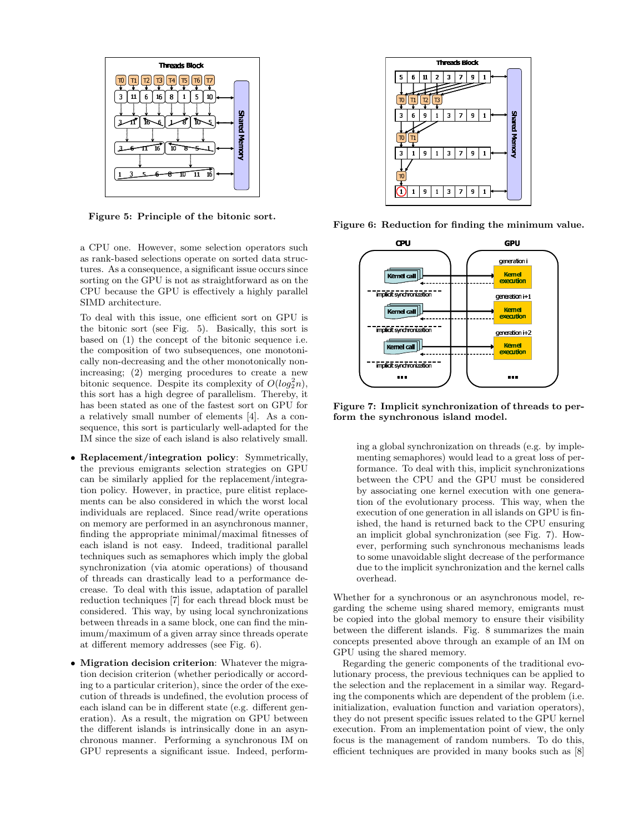

Figure 5: Principle of the bitonic sort.

a CPU one. However, some selection operators such as rank-based selections operate on sorted data structures. As a consequence, a significant issue occurs since sorting on the GPU is not as straightforward as on the CPU because the GPU is effectively a highly parallel SIMD architecture.

To deal with this issue, one efficient sort on GPU is the bitonic sort (see Fig. 5). Basically, this sort is based on (1) the concept of the bitonic sequence i.e. the composition of two subsequences, one monotonically non-decreasing and the other monotonically nonincreasing; (2) merging procedures to create a new bitonic sequence. Despite its complexity of  $O(log_2^2 n)$ , this sort has a high degree of parallelism. Thereby, it has been stated as one of the fastest sort on GPU for a relatively small number of elements [4]. As a consequence, this sort is particularly well-adapted for the IM since the size of each island is also relatively small.

- Replacement/integration policy: Symmetrically, the previous emigrants selection strategies on GPU can be similarly applied for the replacement/integration policy. However, in practice, pure elitist replacements can be also considered in which the worst local individuals are replaced. Since read/write operations on memory are performed in an asynchronous manner, finding the appropriate minimal/maximal fitnesses of each island is not easy. Indeed, traditional parallel techniques such as semaphores which imply the global synchronization (via atomic operations) of thousand of threads can drastically lead to a performance decrease. To deal with this issue, adaptation of parallel reduction techniques [7] for each thread block must be considered. This way, by using local synchronizations between threads in a same block, one can find the minimum/maximum of a given array since threads operate at different memory addresses (see Fig. 6).
- Migration decision criterion: Whatever the migration decision criterion (whether periodically or according to a particular criterion), since the order of the execution of threads is undefined, the evolution process of each island can be in different state (e.g. different generation). As a result, the migration on GPU between the different islands is intrinsically done in an asynchronous manner. Performing a synchronous IM on GPU represents a significant issue. Indeed, perform-



Figure 6: Reduction for finding the minimum value.



Figure 7: Implicit synchronization of threads to perform the synchronous island model.

ing a global synchronization on threads (e.g. by implementing semaphores) would lead to a great loss of performance. To deal with this, implicit synchronizations between the CPU and the GPU must be considered by associating one kernel execution with one generation of the evolutionary process. This way, when the execution of one generation in all islands on GPU is finished, the hand is returned back to the CPU ensuring an implicit global synchronization (see Fig. 7). However, performing such synchronous mechanisms leads to some unavoidable slight decrease of the performance due to the implicit synchronization and the kernel calls overhead.

Whether for a synchronous or an asynchronous model, regarding the scheme using shared memory, emigrants must be copied into the global memory to ensure their visibility between the different islands. Fig. 8 summarizes the main concepts presented above through an example of an IM on GPU using the shared memory.

Regarding the generic components of the traditional evolutionary process, the previous techniques can be applied to the selection and the replacement in a similar way. Regarding the components which are dependent of the problem (i.e. initialization, evaluation function and variation operators), they do not present specific issues related to the GPU kernel execution. From an implementation point of view, the only focus is the management of random numbers. To do this, efficient techniques are provided in many books such as [8]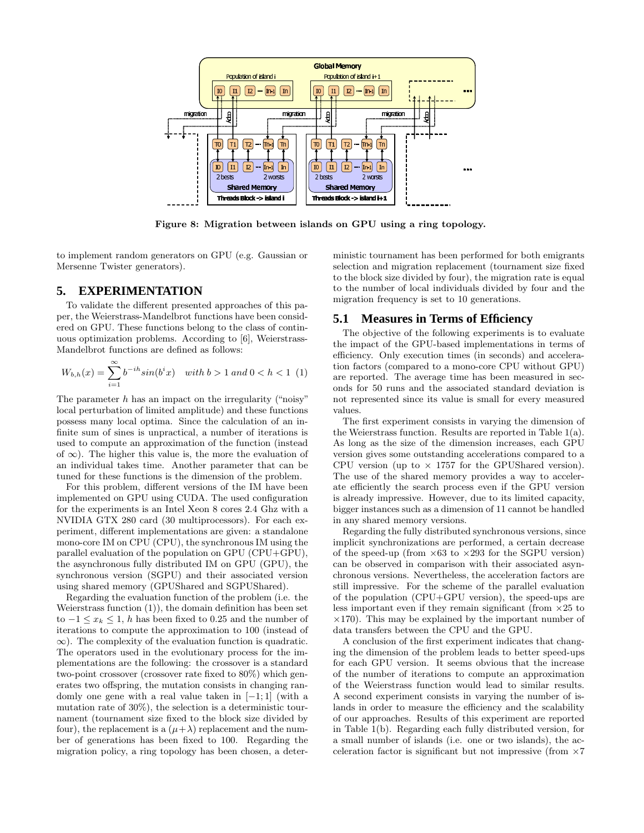

Figure 8: Migration between islands on GPU using a ring topology.

to implement random generators on GPU (e.g. Gaussian or Mersenne Twister generators).

### **5. EXPERIMENTATION**

To validate the different presented approaches of this paper, the Weierstrass-Mandelbrot functions have been considered on GPU. These functions belong to the class of continuous optimization problems. According to [6], Weierstrass-Mandelbrot functions are defined as follows:

$$
W_{b,h}(x) = \sum_{i=1}^{\infty} b^{-ih} \sin(b^i x) \quad \text{with } b > 1 \text{ and } 0 < h < 1 \tag{1}
$$

The parameter  $h$  has an impact on the irregularity ("noisy" local perturbation of limited amplitude) and these functions possess many local optima. Since the calculation of an infinite sum of sines is unpractical, a number of iterations is used to compute an approximation of the function (instead of  $\infty$ ). The higher this value is, the more the evaluation of an individual takes time. Another parameter that can be tuned for these functions is the dimension of the problem.

For this problem, different versions of the IM have been implemented on GPU using CUDA. The used configuration for the experiments is an Intel Xeon 8 cores 2.4 Ghz with a NVIDIA GTX 280 card (30 multiprocessors). For each experiment, different implementations are given: a standalone mono-core IM on CPU (CPU), the synchronous IM using the parallel evaluation of the population on GPU (CPU+GPU), the asynchronous fully distributed IM on GPU (GPU), the synchronous version (SGPU) and their associated version using shared memory (GPUShared and SGPUShared).

Regarding the evaluation function of the problem (i.e. the Weierstrass function (1)), the domain definition has been set to  $-1 \le x_k \le 1$ , h has been fixed to 0.25 and the number of iterations to compute the approximation to 100 (instead of  $\infty$ ). The complexity of the evaluation function is quadratic. The operators used in the evolutionary process for the implementations are the following: the crossover is a standard two-point crossover (crossover rate fixed to 80%) which generates two offspring, the mutation consists in changing randomly one gene with a real value taken in [−1; 1] (with a mutation rate of 30%), the selection is a deterministic tournament (tournament size fixed to the block size divided by four), the replacement is a  $(\mu + \lambda)$  replacement and the number of generations has been fixed to 100. Regarding the migration policy, a ring topology has been chosen, a deterministic tournament has been performed for both emigrants selection and migration replacement (tournament size fixed to the block size divided by four), the migration rate is equal to the number of local individuals divided by four and the migration frequency is set to 10 generations.

## **5.1 Measures in Terms of Efficiency**

The objective of the following experiments is to evaluate the impact of the GPU-based implementations in terms of efficiency. Only execution times (in seconds) and acceleration factors (compared to a mono-core CPU without GPU) are reported. The average time has been measured in seconds for 50 runs and the associated standard deviation is not represented since its value is small for every measured values.

The first experiment consists in varying the dimension of the Weierstrass function. Results are reported in Table 1(a). As long as the size of the dimension increases, each GPU version gives some outstanding accelerations compared to a CPU version (up to  $\times$  1757 for the GPUShared version). The use of the shared memory provides a way to accelerate efficiently the search process even if the GPU version is already impressive. However, due to its limited capacity, bigger instances such as a dimension of 11 cannot be handled in any shared memory versions.

Regarding the fully distributed synchronous versions, since implicit synchronizations are performed, a certain decrease of the speed-up (from  $\times 63$  to  $\times 293$  for the SGPU version) can be observed in comparison with their associated asynchronous versions. Nevertheless, the acceleration factors are still impressive. For the scheme of the parallel evaluation of the population (CPU+GPU version), the speed-ups are less important even if they remain significant (from  $\times 25$  to  $\times$ 170). This may be explained by the important number of data transfers between the CPU and the GPU.

A conclusion of the first experiment indicates that changing the dimension of the problem leads to better speed-ups for each GPU version. It seems obvious that the increase of the number of iterations to compute an approximation of the Weierstrass function would lead to similar results. A second experiment consists in varying the number of islands in order to measure the efficiency and the scalability of our approaches. Results of this experiment are reported in Table 1(b). Regarding each fully distributed version, for a small number of islands (i.e. one or two islands), the acceleration factor is significant but not impressive (from  $\times 7$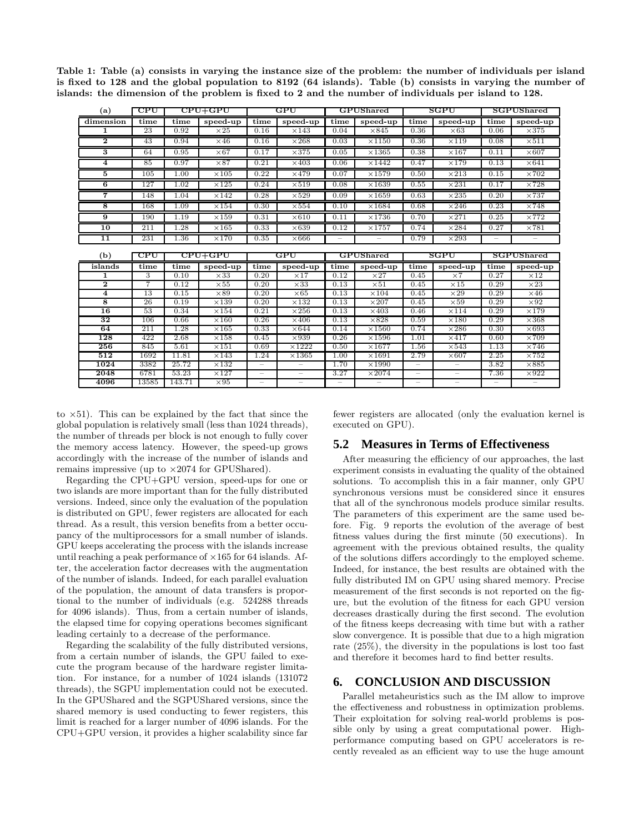Table 1: Table (a) consists in varying the instance size of the problem: the number of individuals per island is fixed to 128 and the global population to 8192 (64 islands). Table (b) consists in varying the number of islands: the dimension of the problem is fixed to 2 and the number of individuals per island to 128.

| (a)                     | $_{\rm CPU}$ | $CPU+GPU$ |              | $_{\rm GPU}$             |                          | GPUShared |                  | SGPU |              | SGPUShared |                          |
|-------------------------|--------------|-----------|--------------|--------------------------|--------------------------|-----------|------------------|------|--------------|------------|--------------------------|
| dimension               | time         | time      | speed-up     | time                     | speed-up                 | time      | speed-up         | time | speed-up     | time       | speed-up                 |
| 1                       | 23           | 0.92      | $\times 25$  | 0.16                     | $\times 143$             | 0.04      | $\times 845$     | 0.36 | $\times 63$  | 0.06       | $\times 375$             |
| $\overline{2}$          | 43           | 0.94      | $\times 46$  | 0.16                     | $\times 268$             | 0.03      | $\times 1150$    | 0.36 | $\times$ 119 | 0.08       | $\times 511$             |
| 3                       | 64           | 0.95      | $\times 67$  | 0.17                     | $\times 375$             | 0.05      | $\times 1365$    | 0.38 | $\times 167$ | 0.11       | $\times 607$             |
| 4                       | 85           | 0.97      | $\times 87$  | 0.21                     | $\times 403$             | 0.06      | $\times 1442$    | 0.47 | $\times$ 179 | 0.13       | $\times 641$             |
| $5\overline{5}$         | 105          | 1.00      | $\times 105$ | 0.22                     | $\times 479$             | 0.07      | $\times 1579$    | 0.50 | $\times 213$ | 0.15       | $\times 702$             |
| $\overline{6}$          | 127          | 1.02      | $\times 125$ | 0.24                     | $\times 519$             | 0.08      | $\times 1639$    | 0.55 | $\times 231$ | 0.17       | $\times 728$             |
| 7                       | 148          | 1.04      | $\times 142$ | 0.28                     | $\times 529$             | 0.09      | $\times 1659$    | 0.63 | $\times 235$ | 0.20       | $\times 737$             |
| $\overline{\mathbf{8}}$ | 168          | 1.09      | $\times 154$ | 0.30                     | $\times 554$             | 0.10      | $\times 1684$    | 0.68 | $\times 246$ | 0.23       | $\times 748$             |
| 9                       | 190          | 1.19      | $\times 159$ | 0.31                     | $\times 610$             | 0.11      | $\times 1736$    | 0.70 | $\times 271$ | 0.25       | $\times 772$             |
| 10                      | 211          | 1.28      | $\times 165$ | 0.33                     | $\times 639$             | 0.12      | $\times$ 1757    | 0.74 | $\times 284$ | 0.27       | $\times 781$             |
| 11                      | 231          | 1.36      | $\times170$  | 0.35                     | $\times 666$             |           |                  | 0.79 | $\times 293$ |            | $\overline{\phantom{0}}$ |
|                         |              |           |              |                          |                          |           |                  |      |              |            |                          |
|                         |              |           |              |                          |                          |           |                  |      |              |            |                          |
| (b)                     | CPU          |           | $CPU + GPU$  |                          | GPU                      |           | <b>GPUShared</b> |      | SGPU         |            | SGPUShared               |
| islands                 | time         | time      | speed-up     | time                     | speed-up                 | time      | speed-up         | time | speed-up     | time       | speed-up                 |
| 1.                      | 3            | 0.10      | $\times 33$  | 0.20                     | $\times17$               | 0.12      | $\times 27$      | 0.45 | $\times 7$   | 0.27       | $\times 12$              |
| $\overline{2}$          | 7            | 0.12      | $\times 55$  | 0.20                     | $\times 33$              | 0.13      | $\times 51$      | 0.45 | $\times 15$  | 0.29       | $\times 23$              |
| $\overline{4}$          | 13           | 0.15      | $\times 89$  | 0.20                     | $\times 65$              | 0.13      | $\times 104$     | 0.45 | $\times 29$  | 0.29       | $\times 46$              |
| $\overline{\mathbf{8}}$ | 26           | 0.19      | $\times$ 139 | 0.20                     | $\times$ 132             | 0.13      | $\times 207$     | 0.45 | $\times 59$  | 0.29       | $\times 92$              |
| 16                      | 53           | 0.34      | $\times 154$ | 0.21                     | $\times 256$             | 0.13      | $\times 403$     | 0.46 | $\times$ 114 | 0.29       | $\times 179$             |
| 32                      | 106          | 0.66      | $\times 160$ | 0.26                     | $\times 406$             | 0.13      | $\times 828$     | 0.59 | $\times 180$ | 0.29       | $\times 368$             |
| 64                      | 211          | 1.28      | $\times 165$ | 0.33                     | $\times 644$             | 0.14      | $\times 1560$    | 0.74 | $\times 286$ | 0.30       | $\times 693$             |
| 128                     | 422          | 2.68      | $\times 158$ | 0.45                     | $\times$ 939             | 0.26      | $\times 1596$    | 1.01 | $\times 417$ | 0.60       | $\times 709$             |
| 256                     | 845          | 5.61      | $\times 151$ | 0.69                     | $\times 1222$            | 0.50      | $\times 1677$    | 1.56 | $\times 543$ | 1.13       | $\times 746$             |
| 512                     | 1692         | 11.81     | $\times 143$ | 1.24                     | $\times 1365$            | 1.00      | $\times$ 1691    | 2.79 | $\times 607$ | 2.25       | $\times 752$             |
| 1024                    | 3382         | 25.72     | $\times$ 132 |                          |                          | 1.70      | $\times 1990$    |      |              | 3.82       | $\times 885$             |
| 2048                    | 6781         | 53.23     | $\times 127$ | $\overline{\phantom{0}}$ | $\overline{\phantom{0}}$ | 3.27      | $\times 2074$    |      |              | 7.36       | $\times 922$             |

to  $\times$ 51). This can be explained by the fact that since the global population is relatively small (less than 1024 threads), the number of threads per block is not enough to fully cover the memory access latency. However, the speed-up grows accordingly with the increase of the number of islands and remains impressive (up to ×2074 for GPUShared).

Regarding the CPU+GPU version, speed-ups for one or two islands are more important than for the fully distributed versions. Indeed, since only the evaluation of the population is distributed on GPU, fewer registers are allocated for each thread. As a result, this version benefits from a better occupancy of the multiprocessors for a small number of islands. GPU keeps accelerating the process with the islands increase until reaching a peak performance of  $\times$ 165 for 64 islands. After, the acceleration factor decreases with the augmentation of the number of islands. Indeed, for each parallel evaluation of the population, the amount of data transfers is proportional to the number of individuals (e.g. 524288 threads for 4096 islands). Thus, from a certain number of islands, the elapsed time for copying operations becomes significant leading certainly to a decrease of the performance.

Regarding the scalability of the fully distributed versions, from a certain number of islands, the GPU failed to execute the program because of the hardware register limitation. For instance, for a number of 1024 islands (131072 threads), the SGPU implementation could not be executed. In the GPUShared and the SGPUShared versions, since the shared memory is used conducting to fewer registers, this limit is reached for a larger number of 4096 islands. For the CPU+GPU version, it provides a higher scalability since far fewer registers are allocated (only the evaluation kernel is executed on GPU).

## **5.2 Measures in Terms of Effectiveness**

After measuring the efficiency of our approaches, the last experiment consists in evaluating the quality of the obtained solutions. To accomplish this in a fair manner, only GPU synchronous versions must be considered since it ensures that all of the synchronous models produce similar results. The parameters of this experiment are the same used before. Fig. 9 reports the evolution of the average of best fitness values during the first minute (50 executions). In agreement with the previous obtained results, the quality of the solutions differs accordingly to the employed scheme. Indeed, for instance, the best results are obtained with the fully distributed IM on GPU using shared memory. Precise measurement of the first seconds is not reported on the figure, but the evolution of the fitness for each GPU version decreases drastically during the first second. The evolution of the fitness keeps decreasing with time but with a rather slow convergence. It is possible that due to a high migration rate (25%), the diversity in the populations is lost too fast and therefore it becomes hard to find better results.

### **6. CONCLUSION AND DISCUSSION**

Parallel metaheuristics such as the IM allow to improve the effectiveness and robustness in optimization problems. Their exploitation for solving real-world problems is possible only by using a great computational power. Highperformance computing based on GPU accelerators is recently revealed as an efficient way to use the huge amount